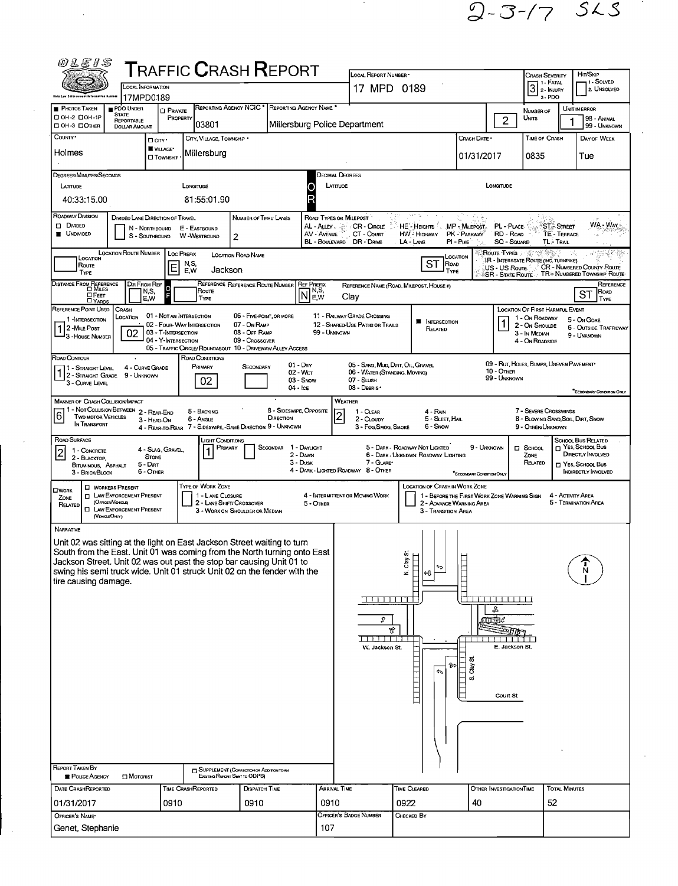$2 - 3 - 7$   $56$ 

 $\sim 10^{-1}$ 

|                                                                                                                                                  |                                                              |                                            | <b>T</b> RAFFIC <b>C</b> RASH <b>R</b> EPORT                                   |                                          |                                                 |                           | LOCAL REPORT NUMBER *                                              |                                                                                                |                           |                          | <b>CRASH SEVERITY</b>                                                                                                   | HIT/SKIP                                     |
|--------------------------------------------------------------------------------------------------------------------------------------------------|--------------------------------------------------------------|--------------------------------------------|--------------------------------------------------------------------------------|------------------------------------------|-------------------------------------------------|---------------------------|--------------------------------------------------------------------|------------------------------------------------------------------------------------------------|---------------------------|--------------------------|-------------------------------------------------------------------------------------------------------------------------|----------------------------------------------|
| <b>Oble Low Enforcement Informative System</b>                                                                                                   | LOCAL INFORMATION<br>17MPD0189                               |                                            |                                                                                |                                          |                                                 |                           | 17 MPD 0189                                                        |                                                                                                |                           |                          | $3$ : FATAL $\overline{3}$ 2 - Injury<br>3-PDO                                                                          |                                              |
| <b>PHOTOS TAKEN</b>                                                                                                                              | PDO UNDER<br><b>STATE</b>                                    | <b>O</b> PRIVATE                           |                                                                                |                                          | REPORTING AGENCY NCIC * REPORTING AGENCY NAME * |                           |                                                                    |                                                                                                |                           |                          | NUMBER OF                                                                                                               | UNIT IN ERROR                                |
| □ 0Н-2 □ 0Н-1Р<br>□ OH-3 □ OTHER                                                                                                                 | REPORTABLE<br><b>DOLLAR AMOUNT</b>                           | PROPERTY                                   | 03801                                                                          |                                          | Millersburg Police Department                   |                           |                                                                    |                                                                                                |                           | $\overline{2}$           | UNITS                                                                                                                   |                                              |
| COUNTY <sup>.</sup>                                                                                                                              |                                                              | Daw <sup>.</sup>                           | CITY, VILLAGE, TOWNSHIP                                                        |                                          |                                                 |                           |                                                                    |                                                                                                | CRASH DATE *              |                          | <b>TIME OF CRASH</b>                                                                                                    | DAY OF WEEK                                  |
| Holmes                                                                                                                                           |                                                              | VILLAGE*<br><b>O</b> TOWNSHIP              | Millersburg                                                                    |                                          |                                                 |                           |                                                                    |                                                                                                | 01/31/2017                |                          | 0835                                                                                                                    | Tue                                          |
| DEGREES/MINUTES/SECONDS                                                                                                                          |                                                              |                                            |                                                                                |                                          |                                                 | Decimal Degrees           |                                                                    |                                                                                                |                           |                          |                                                                                                                         |                                              |
| LATITUDE                                                                                                                                         |                                                              |                                            | LONGITUDE                                                                      |                                          |                                                 | LATITUOE                  |                                                                    |                                                                                                |                           | LONGITUDE                |                                                                                                                         |                                              |
| 40:33:15.00                                                                                                                                      |                                                              |                                            | 81:55:01.90                                                                    |                                          |                                                 |                           |                                                                    |                                                                                                |                           |                          |                                                                                                                         |                                              |
| ROADWAY DIVISION                                                                                                                                 | DIVIDED LANE DIRECTION OF TRAVEL                             |                                            |                                                                                | Number of Thru Lanes                     |                                                 | ROAD TYPES OR MILEPOST    |                                                                    | tek is.                                                                                        | 不同意                       |                          |                                                                                                                         |                                              |
| <b>DI DIVIDED</b><br><b>UNDIVIDED</b>                                                                                                            |                                                              | N - Northbound<br>S - SOUTHBOUND           | E - EASTBOUND<br>W-WESTBOUND                                                   | 2                                        |                                                 |                           | AL - ALLEY - SALLEY CR - CIRCLE<br>AV - AVENUE CT - COURT          | HE'-HEGHTS MP-MILEPOST<br>HW - HIGHWAY PK - PARKWAY                                            |                           | PL - Puce<br>RD - Road   |                                                                                                                         | <b>ST. STREET</b><br>TE - TERRACE            |
|                                                                                                                                                  |                                                              |                                            |                                                                                |                                          |                                                 | BL - BOULEVARD DR - DRIVE |                                                                    | LA - LANE                                                                                      | PI - PIKE                 | <b>SQ - SOUARE</b>       |                                                                                                                         | <b>TL-TRAL</b>                               |
| Location<br>Route                                                                                                                                | <b>LOCATION ROUTE NUMBER</b>                                 |                                            | LOC PREFIX<br>N,S,                                                             | LOCATION ROAD NAME                       |                                                 |                           |                                                                    | <b>ST</b><br>ROAD                                                                              | LOCATION                  |                          | <b>Route Types</b> 2 2 2 2 3 3 3<br>IR - Interstate Route (Inc. Turnpike)<br>US - US ROUTE : CR - NUMBERED COUNTY ROUTE |                                              |
| TYPE                                                                                                                                             |                                                              | Ε                                          | Jackson<br>E,W                                                                 |                                          |                                                 |                           |                                                                    | TYPE                                                                                           |                           |                          | SR - State Route . TR - Numbered Township Route                                                                         |                                              |
| DISTANCE FROM REFERENCE<br>Diviles<br>□Feer                                                                                                      | DIR FROM REF<br>N,S,                                         |                                            | Route                                                                          |                                          | REFERENCE REFERENCE ROUTE NUMBER REF PREFIX     | 1 N.S.<br>NEw             | Clay                                                               | REFERENCE NAME (ROAD, MILEPOST, HOUSE #)                                                       |                           |                          |                                                                                                                         | ST                                           |
| <b>TYARDS</b><br>REFERENCE POINT USED                                                                                                            | E,W<br>CRASH                                                 |                                            | <b>TYPE</b>                                                                    |                                          |                                                 |                           |                                                                    |                                                                                                |                           |                          | LOCATION OF FIRST HARMFUL EVENT                                                                                         |                                              |
| 1-INTERSECTION<br>1 2-MILE POST                                                                                                                  | LOCATION                                                     | 01 - NOT AN INTERSECTION                   | 02 - FOUR-WAY INTERSECTION                                                     | 06 - FIVE-POINT, OR MORE<br>07 - On RAMP |                                                 |                           | 11 - RAILWAY GRADE CROSSING<br>12 - SHARED-USE PATHS OR TRAILS     | <b>E</b> INTERSECTION                                                                          |                           |                          | 1 - On ROADWAY<br>2 - On Shoulde                                                                                        | 5 - On Gore<br><b>6 - OUTSIDE TRAFFICWAY</b> |
| 3 - House Number                                                                                                                                 | 02                                                           | 03 - T-INTERSECTION<br>04 - Y-INTERSECTION |                                                                                | 08 - OFF RAMP<br>09 - Crossover          |                                                 | 99 - UNKNOWN              |                                                                    | RELATED                                                                                        |                           |                          | 3 - In Median<br>4 - On ROADSIDE                                                                                        | 9 - UNKNOWN                                  |
| ROAD CONTOUR                                                                                                                                     |                                                              |                                            | 05 - TRAFFIC CIRCLE/ ROUNDABOUT 10 - DRIVEWAY/ ALLEY ACCESS<br>ROAD CONDITIONS |                                          |                                                 |                           |                                                                    |                                                                                                |                           |                          |                                                                                                                         |                                              |
| 11 - Straight Level                                                                                                                              | 4 - CURVE GRADE                                              |                                            | PRIMARY                                                                        | SECONDARY                                | $01 - \text{Dar}$<br>$02 - W_{ET}$              |                           | 05 - SAND, MUD, DIRT, OIL, GRAVEL<br>06 - Water (Standing, Mdving) |                                                                                                |                           | 10 - OTHER               | 09 - RUT, HOLES, BUMPS, UNEVEN PAVEMENT                                                                                 |                                              |
| 1 2 - STRAIGHT GRADE 9 - UNKNOWN<br>3 - CURVE LEVEL                                                                                              |                                                              |                                            | 02                                                                             |                                          | 03 - Snow<br>04 - Ice                           |                           | 07 - SLUSH<br>08 - DEBRIS ·                                        |                                                                                                |                           | 99 - Unknown             |                                                                                                                         |                                              |
| <b>MANNER OF CRASH COLLISION/IMPACT</b>                                                                                                          |                                                              |                                            |                                                                                |                                          |                                                 |                           | WEATHER                                                            |                                                                                                |                           |                          |                                                                                                                         | SECONDARY CONDITION ONLY                     |
| 11 - Not Collision Between 2 - Rear-End<br>61<br><b>TWO MOTOR VEHICLES</b>                                                                       |                                                              |                                            | 5 - BACKING                                                                    |                                          | 8 - SIDESWIPE, OPPOSITE<br>DIRECTION            | $\overline{c}$            | 1 - CLEAR                                                          | 4 - RAIN<br>5 - Sleet Hal                                                                      |                           |                          | 7 - SEVERE CROSSWINDS<br>8 - BLOWING SAND, SOIL, DIRT, SNOW                                                             |                                              |
| IN TRANSPORT                                                                                                                                     |                                                              | 3 - HEAD-ON                                | 6 - Angle<br>4 - REAR-TO-REAR 7 - SIDESWIPE, -SAME DIRECTION 9 - UNKNOWN       |                                          |                                                 |                           | 2 - CLOUDY<br>3 - Fog, Smog, Smoke                                 | 6 - Svow                                                                                       |                           |                          | 9 - OTHER/UNKNOWN                                                                                                       |                                              |
| ROAD SURFACE                                                                                                                                     |                                                              |                                            | Light Contmons<br>PRIMARY                                                      |                                          | SECONDAR 1 - DAYLIGHT                           |                           |                                                                    | 5 - DARK - ROADWAY NOT LIGHTED                                                                 | 9 - UNKNOWN               |                          | $\Box$ SCHOOL                                                                                                           | School Bus Related<br>NES, SCHOOL Bus        |
| 1 - CONCRETE<br>2<br>2 - BLACKTOP.                                                                                                               | 5 - Dirt                                                     | 4 - SLAG, GRAVEL<br><b>STONE</b>           |                                                                                |                                          | 2 - Dawn<br>3 - Dusk                            |                           | 7 - GLARE*                                                         | 6 - DARK - UNKNOWN ROADWAY LIGHTING                                                            |                           |                          | ZONE<br>RELATED                                                                                                         | DIRECTLY INVOLVED<br>□ YEs, School Bus       |
| BITUMINOUS, ASPHALT<br>3 - BRICK BLOCK                                                                                                           |                                                              | 6 - OTHER                                  |                                                                                |                                          |                                                 |                           | 4 - DARK - LIGHTED ROADWAY 8 - OTHER                               |                                                                                                | "SECONDARY CONDITION ONLY |                          |                                                                                                                         | <b>INDIRECTLY INVOLVED</b>                   |
| <b>OWORK</b>                                                                                                                                     | <b>D</b> WORKERS PRESENT<br><b>D</b> LAW ENFORCEMENT PRESENT |                                            | TYPE OF WORK ZONE<br>1 - LANE CLOSURE                                          |                                          |                                                 |                           | 4 - INTERMITTENT OR MOVING WORK                                    | LOCATION OF CRASH IN WORK ZONE                                                                 |                           |                          |                                                                                                                         | 4 - ACTIVITY AREA                            |
| ZONE<br>RELATED                                                                                                                                  | (OFFICER VEHICLE)<br><b>CI LAW ENFORCEMENT PRESENT</b>       |                                            | 2 - LANE SHIFT/ CROSSOVER<br>3 - WORK ON SHOULDER OR MEDIAN                    |                                          |                                                 | 5 - OTHER                 |                                                                    | 1 - BEFORE THE FIRST WORK ZONE WARMING SIGN<br>2 - ADVANCE WARNING AREA<br>3 - Transition Area |                           |                          |                                                                                                                         | 5 - TERMINATION AREA                         |
|                                                                                                                                                  | (VENGEORLY)                                                  |                                            |                                                                                |                                          |                                                 |                           |                                                                    |                                                                                                |                           |                          |                                                                                                                         |                                              |
| NARRATIVE                                                                                                                                        |                                                              |                                            |                                                                                |                                          |                                                 |                           |                                                                    |                                                                                                |                           |                          |                                                                                                                         |                                              |
|                                                                                                                                                  |                                                              |                                            |                                                                                |                                          |                                                 |                           |                                                                    |                                                                                                |                           |                          |                                                                                                                         |                                              |
| Unit 02 was sitting at the light on East Jackson Street waiting to turn                                                                          |                                                              |                                            |                                                                                |                                          |                                                 |                           |                                                                    | $\vec{a}$ .                                                                                    |                           |                          |                                                                                                                         |                                              |
| South from the East. Unit 01 was coming from the North turning onto East<br>Jackson Street. Unit 02 was out past the stop bar causing Unit 01 to |                                                              |                                            |                                                                                |                                          |                                                 |                           |                                                                    |                                                                                                |                           |                          |                                                                                                                         |                                              |
| swing his semi truck wide. Unit 01 struck Unit 02 on the fender with the<br>tire causing damage.                                                 |                                                              |                                            |                                                                                |                                          |                                                 |                           |                                                                    | N. Clay<br>લ                                                                                   |                           |                          |                                                                                                                         | Ν                                            |
|                                                                                                                                                  |                                                              |                                            |                                                                                |                                          |                                                 |                           |                                                                    |                                                                                                |                           |                          |                                                                                                                         |                                              |
|                                                                                                                                                  |                                                              |                                            |                                                                                |                                          |                                                 |                           | الانداد الالحاظ                                                    |                                                                                                |                           | فالمستحدث الأراد<br>♧    |                                                                                                                         |                                              |
|                                                                                                                                                  |                                                              |                                            |                                                                                |                                          |                                                 |                           | s                                                                  |                                                                                                |                           | πৰα                      |                                                                                                                         |                                              |
|                                                                                                                                                  |                                                              |                                            |                                                                                |                                          |                                                 |                           | ד דרד דרד                                                          | F                                                                                              |                           |                          |                                                                                                                         |                                              |
|                                                                                                                                                  |                                                              |                                            |                                                                                |                                          |                                                 |                           | W. Jackson St.                                                     |                                                                                                |                           | E. Jackson St.           |                                                                                                                         |                                              |
|                                                                                                                                                  |                                                              |                                            |                                                                                |                                          |                                                 |                           |                                                                    | ₻<br>¢                                                                                         | t,<br>╕<br>Clay           |                          |                                                                                                                         |                                              |
|                                                                                                                                                  |                                                              |                                            |                                                                                |                                          |                                                 |                           |                                                                    |                                                                                                | tó.                       |                          |                                                                                                                         |                                              |
|                                                                                                                                                  |                                                              |                                            |                                                                                |                                          |                                                 |                           |                                                                    | $\Box$                                                                                         |                           | Court St                 |                                                                                                                         |                                              |
|                                                                                                                                                  |                                                              |                                            |                                                                                |                                          |                                                 |                           |                                                                    |                                                                                                |                           |                          |                                                                                                                         |                                              |
|                                                                                                                                                  |                                                              |                                            |                                                                                |                                          |                                                 |                           |                                                                    |                                                                                                |                           |                          |                                                                                                                         |                                              |
|                                                                                                                                                  |                                                              |                                            |                                                                                |                                          |                                                 |                           |                                                                    |                                                                                                |                           |                          |                                                                                                                         |                                              |
|                                                                                                                                                  |                                                              |                                            |                                                                                |                                          |                                                 |                           |                                                                    |                                                                                                |                           |                          |                                                                                                                         |                                              |
| REPORT TAKEN BY<br>POLICE AGENCY                                                                                                                 | MOTORIST                                                     |                                            | <b>SUPPLEMENT (CORRECTION OR ADDITION TO AN</b>                                | Existing Report Sent to ODPS)            |                                                 |                           |                                                                    |                                                                                                |                           |                          |                                                                                                                         |                                              |
| DATE CRASHREPORTED                                                                                                                               |                                                              |                                            | <b>TIME CRASHREPORTED</b>                                                      | DISPATCH TIME                            |                                                 | <b>ARRIVAL TIME</b>       |                                                                    | TIME CLEARED                                                                                   |                           | OTHER INVESTIGATION TIME |                                                                                                                         | <b>TOTAL MINUTES</b>                         |
| 01/31/2017                                                                                                                                       |                                                              | 0910                                       |                                                                                | 0910                                     |                                                 | 0910                      |                                                                    | 0922                                                                                           | 40                        |                          |                                                                                                                         | 52                                           |

 $\frac{1}{2}$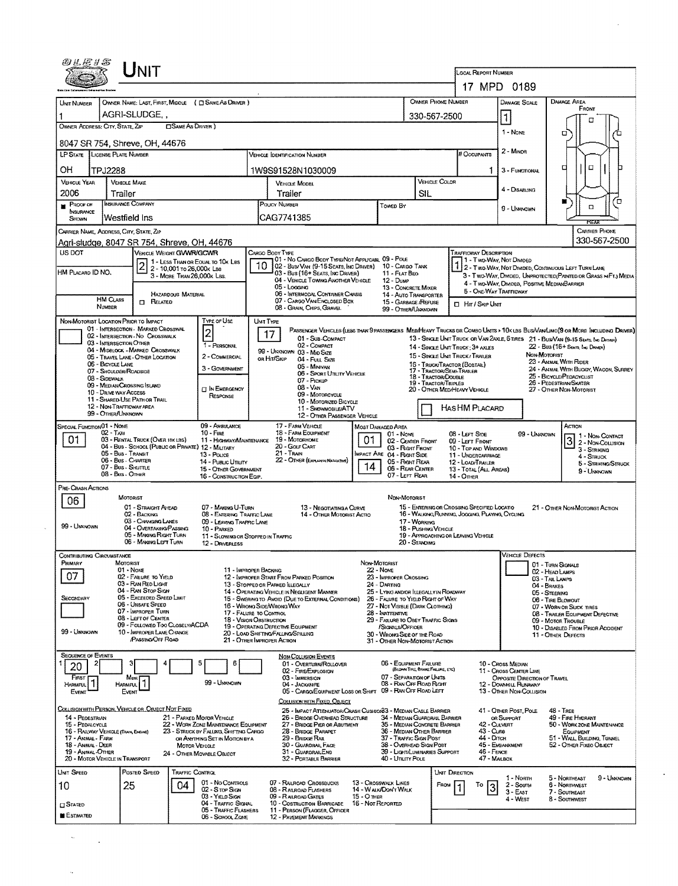|                                                                                                                                       | I Init                                                                                 |                                                         |                                                                          |                                                                                                |                                                                                                                           |                                         |                                                                                       |                                               |                                             |                                                                                                                                                                                                                                                                                                              |                                                        |               |                                                                                                                                 |  |  |
|---------------------------------------------------------------------------------------------------------------------------------------|----------------------------------------------------------------------------------------|---------------------------------------------------------|--------------------------------------------------------------------------|------------------------------------------------------------------------------------------------|---------------------------------------------------------------------------------------------------------------------------|-----------------------------------------|---------------------------------------------------------------------------------------|-----------------------------------------------|---------------------------------------------|--------------------------------------------------------------------------------------------------------------------------------------------------------------------------------------------------------------------------------------------------------------------------------------------------------------|--------------------------------------------------------|---------------|---------------------------------------------------------------------------------------------------------------------------------|--|--|
|                                                                                                                                       |                                                                                        |                                                         |                                                                          |                                                                                                |                                                                                                                           |                                         |                                                                                       |                                               |                                             | LOCAL REPORT NUMBER                                                                                                                                                                                                                                                                                          | 17 MPD 0189                                            |               |                                                                                                                                 |  |  |
| UNIT NUMBER                                                                                                                           | OWNER NAME: LAST, FIRST, MIDDLE ( C SAME AS DRIVER )                                   |                                                         |                                                                          |                                                                                                |                                                                                                                           |                                         |                                                                                       |                                               | <b>OWNER PHONE NUMBER</b>                   |                                                                                                                                                                                                                                                                                                              | DAMAGE SCALE                                           |               | DAMAGE AREA                                                                                                                     |  |  |
|                                                                                                                                       | AGRI-SLUDGE,                                                                           |                                                         |                                                                          |                                                                                                | 330-567-2500                                                                                                              |                                         |                                                                                       |                                               |                                             |                                                                                                                                                                                                                                                                                                              | $\vert$ 1                                              |               | FRONT                                                                                                                           |  |  |
| OWNER ADDRESS: CITY, STATE, ZIP                                                                                                       |                                                                                        | <b>CISAME AS DRIVER</b>                                 |                                                                          |                                                                                                |                                                                                                                           |                                         |                                                                                       |                                               |                                             |                                                                                                                                                                                                                                                                                                              | 1 - NONE                                               |               | г<br>о                                                                                                                          |  |  |
|                                                                                                                                       | 8047 SR 754, Shreve, OH, 44676                                                         |                                                         |                                                                          |                                                                                                |                                                                                                                           |                                         |                                                                                       |                                               |                                             | # Occupants                                                                                                                                                                                                                                                                                                  |                                                        |               |                                                                                                                                 |  |  |
| LP STATE LICENSE PLATE NUMBER                                                                                                         |                                                                                        |                                                         |                                                                          |                                                                                                | <b>VEHICLE IDENTIFICATION NUMBER</b>                                                                                      |                                         |                                                                                       |                                               |                                             |                                                                                                                                                                                                                                                                                                              | 2 - Minion                                             |               |                                                                                                                                 |  |  |
| OН                                                                                                                                    | TPJ2288<br><b>VEHICLE MAKE</b>                                                         |                                                         |                                                                          |                                                                                                | 1W9S91528N1030009                                                                                                         |                                         |                                                                                       | VEHICLE COLOR                                 |                                             | 1.                                                                                                                                                                                                                                                                                                           | 3 - Functional                                         |               | O<br>□                                                                                                                          |  |  |
| <b>VEHICLE YEAR</b><br>2006                                                                                                           | Trailer                                                                                |                                                         |                                                                          |                                                                                                | <b>VEHICLE MODEL</b><br>Trailer                                                                                           |                                         | SIL                                                                                   |                                               |                                             | 4 - DISABLING                                                                                                                                                                                                                                                                                                |                                                        |               |                                                                                                                                 |  |  |
| PROOF OF<br>INSURANCE                                                                                                                 | INSURANCE COMPANY                                                                      |                                                         |                                                                          | POUCY NUMBER<br>Towed By                                                                       |                                                                                                                           |                                         |                                                                                       |                                               |                                             |                                                                                                                                                                                                                                                                                                              | 9 - UNKNOWN                                            |               | Έ<br>$\Box$                                                                                                                     |  |  |
| SHOWN                                                                                                                                 | Westfield Ins                                                                          |                                                         |                                                                          |                                                                                                | CAG7741385                                                                                                                |                                         |                                                                                       |                                               |                                             |                                                                                                                                                                                                                                                                                                              |                                                        |               | ਲਨਸ                                                                                                                             |  |  |
|                                                                                                                                       | CARRIER NAME, ADDRESS, CITY, STATE, ZIP<br>Agri-sludge, 8047 SR 754, Shreve, OH, 44676 |                                                         |                                                                          |                                                                                                |                                                                                                                           |                                         |                                                                                       |                                               |                                             |                                                                                                                                                                                                                                                                                                              |                                                        |               | CARRIER PHONE<br>330-567-2500                                                                                                   |  |  |
| <b>US DOT</b>                                                                                                                         |                                                                                        | VEHICLE WEIGHT GVWR/GCWR                                |                                                                          |                                                                                                | CARGO BODY TYPE<br>01 - No Cargo Body Type/Not Applicasi, 09 - Pole                                                       |                                         |                                                                                       |                                               |                                             | <b>TRAFFICWAY DESCRIPTION</b>                                                                                                                                                                                                                                                                                | 1 - Two-Way, Not Divideo                               |               |                                                                                                                                 |  |  |
| HM PLACARD ID NO.                                                                                                                     | $\overline{\mathbf{c}}$                                                                | 2 - 10,001 To 26,000K Las<br>3 - MORE THAN 26,000K LBS. | 1 - LESS THAN OR EQUAL TO 10K LBS                                        |                                                                                                | 02 - Bus/VAN (9-15 SEATS, INC DRIVER) 10 - CARGO TANK<br>03 - Bus (16+ SEATS, INC DRIVER)                                 |                                         | 11 - FLAT BEO                                                                         |                                               |                                             |                                                                                                                                                                                                                                                                                                              |                                                        |               | 1 2 - TWO-WAY, NOT DIVIDED, COMTINUOUS LEFT TURN LANE<br>3 - Two-Way, Divideo, Unprotected (Painted or Grass > Ft.) Media       |  |  |
|                                                                                                                                       |                                                                                        |                                                         |                                                                          |                                                                                                | 04 - VEHICLE TOWING ANOTHER VEHICLE<br>05 - Logging                                                                       |                                         | $12 - D$ uMP<br>13 - CONCRETE MIXER                                                   |                                               |                                             |                                                                                                                                                                                                                                                                                                              | 4 - Two-Way, Divided, Positive MedianBarrier           |               |                                                                                                                                 |  |  |
|                                                                                                                                       | <b>HM CLASS</b><br><b>NUMBER</b>                                                       | <b>HAZARDOUS MATERIAL</b><br>$\Box$ Related             |                                                                          |                                                                                                | 07 - CARGO VAN/ENCLOSED BOX                                                                                               | 06 - INTERMODAL CONTAINER CHASIS        |                                                                                       | 14 - Auto TRANSPORTER<br>15 - GARBAGE /REFUSE |                                             | <b>CI Hir/SkipUnit</b>                                                                                                                                                                                                                                                                                       | 5 - ONE-WAY TRAFFICWAY                                 |               |                                                                                                                                 |  |  |
|                                                                                                                                       | NON-MOTORIST LOCATION PRIOR TO IMPACT                                                  |                                                         | <b>TYPE OF USE</b>                                                       | UMT TYPE                                                                                       | 08 - GRAIN, CHIPS, GRAVEL                                                                                                 |                                         | 99 - OTHER/UNNNOWN                                                                    |                                               |                                             |                                                                                                                                                                                                                                                                                                              |                                                        |               |                                                                                                                                 |  |  |
|                                                                                                                                       | 01 - INTERSECTION - MARKED CROSSWAL<br>02 - INTERSECTION - NO CROSSWALK                |                                                         | $\overline{\mathbf{c}}$                                                  |                                                                                                | 17<br>01 - SUB-COMPACT                                                                                                    |                                         |                                                                                       |                                               |                                             |                                                                                                                                                                                                                                                                                                              |                                                        |               | PASSENGER VEHICLES (LESS THAN 9 PASSENGERS MEDIA HEAVY TRUCKS OR COMBO UNITS > 10K LBS BUSIVAN/LIMO(9 OR MORE INCLUDING DRIVER) |  |  |
|                                                                                                                                       | 03 - INTERSECTION OTHER<br>04 - MIDBLOCK - MARKED CROSSWALK                            |                                                         | 1 - PERSONAL                                                             |                                                                                                | 02 - COMPACT<br>99 - UNKNOWN 03 - Mro Size                                                                                |                                         |                                                                                       |                                               |                                             | 13 - SINGLE UNIT TRUCK OR VAN 2AXLE, 6 TIRES 21 - BUS/VAN (9-15 SEATS, INC DRAWER)<br>22 - Bus (16+ Sears, Inc Deaga)<br>14 - SINGLE UNIT TRUCK: 3+ AXLES<br>NON-MOTORIST<br>15 - SINGLE UNIT TRUCK/TRAILER<br>23 - ANMAL WITH RIDER<br>16 - TRUCK/TRACTOR (BOBTAIL)<br>24 - ANMAL WITH BUGGY, WAGON, SURREY |                                                        |               |                                                                                                                                 |  |  |
|                                                                                                                                       | 05 - TRAVEL LANE - OTHER LOCATION<br>06 - BICYCLE LANE                                 |                                                         | 2 - COMMERCIAL<br>3 - GOVERNMENT                                         |                                                                                                | or Hit/Skip<br>04 - Full Size<br>05 - Minivan                                                                             |                                         |                                                                                       |                                               |                                             |                                                                                                                                                                                                                                                                                                              |                                                        |               |                                                                                                                                 |  |  |
|                                                                                                                                       | 07 - SHOULDER/ROADSIDE<br>08 - SOEWALK                                                 |                                                         |                                                                          |                                                                                                | 17 - TRACTOR/SEMI-TRAILER<br>06 - SPORT UTILITY VEHICLE<br>18 - Tractor/Double<br>07 - PICKUP<br>19 - TRACTOR/TRIPLES     |                                         |                                                                                       |                                               |                                             | 25 - BICYCLE/PEDACYCLIST<br>26 - PEDESTRIAN/SKATER                                                                                                                                                                                                                                                           |                                                        |               |                                                                                                                                 |  |  |
| 09 - MEDIAN CROSSING SLAND<br><b>IN EMERGENCY</b><br>10 - DRIVE WAY ACCESS<br>RESPONSE<br>11 - SHARED-USE PATH OR TRAIL               |                                                                                        |                                                         |                                                                          |                                                                                                | 08 - VAN<br>20 - OTHER MEDIHEAVY VEHICLE<br>09 - MOTORCYCLE                                                               |                                         |                                                                                       |                                               |                                             |                                                                                                                                                                                                                                                                                                              |                                                        |               | 27 - OTHER NON-MOTORIST                                                                                                         |  |  |
|                                                                                                                                       | 12 - NON-TRAFFICWAY AREA<br>99 - OTHER/UNKNOWN                                         |                                                         |                                                                          | 10 - MOTORIZED BICYCLE<br>11 - SNOWMOBILE/ATV<br>12 - OTHER PASSENGER VEHICLE                  |                                                                                                                           |                                         |                                                                                       |                                               |                                             | HASHM PLACARD                                                                                                                                                                                                                                                                                                |                                                        |               |                                                                                                                                 |  |  |
| SPECIAL FUNCTION 01 - NONE<br>09 - AMBULANCE                                                                                          |                                                                                        |                                                         |                                                                          |                                                                                                | 17 - FARM VEHICLE                                                                                                         |                                         | ACTION                                                                                |                                               |                                             |                                                                                                                                                                                                                                                                                                              |                                                        |               |                                                                                                                                 |  |  |
| $02 - T_{\text{AVI}}$<br>$10 -$ Finn<br>01<br>03 - RENTAL TRUCK (OVER 10K LBS)<br>04 - Bus - School (Public or Private) 12 - Milltary |                                                                                        |                                                         |                                                                          |                                                                                                | 18 - FARM EQUIPMENT<br>$01 - None$<br>11 - HIGHWAY/MAINTENANCE 19 - MOTORHOME<br>01<br>02 - CEMER FRONT<br>20 - GOLF CART |                                         |                                                                                       |                                               |                                             | $08 -$ LEFT SIDE<br>99 - Unknown<br>1 - Non-Contact<br>$\mathbf{3}$<br>09 - LEFT FRONT<br>2 - Non-Couusion<br>10 - Top AND WINDOWS                                                                                                                                                                           |                                                        |               |                                                                                                                                 |  |  |
| 05 - Bus - Transit<br>13 - Pouce<br>06 - Bus - Charter<br>14 - PUBLIC UTILITY                                                         |                                                                                        |                                                         |                                                                          |                                                                                                | 03 - Right Front<br>21 - TRAIN<br>IMPACT ARE 04 - RIGHT SIDE<br>22 - OTHER (EXPLAN IN MARRATIVE)<br>05 - Right Rear       |                                         |                                                                                       |                                               |                                             | 11 - UNDERCARRIAGE<br>12 - LOAD/TRAILER                                                                                                                                                                                                                                                                      | 3 - STRIKING<br>4 - STRUCK                             |               |                                                                                                                                 |  |  |
|                                                                                                                                       | 07 - Bus - Skuttle<br>08 - Bus - OTHER                                                 |                                                         | 15 - OTHER GOVERNMENT<br>16 - CONSTRUCTION EQIP.                         |                                                                                                |                                                                                                                           | 14                                      | 06 - Rear Center<br>07 - LEFT REAR                                                    |                                               | <b>14 - OTHER</b>                           | 13 - TOTAL (ALL AREAS)                                                                                                                                                                                                                                                                                       |                                                        |               | 5 - STRIKING/STRUCK<br>9 - UNKNOWN                                                                                              |  |  |
| PRE-CRASH ACTIONS                                                                                                                     |                                                                                        |                                                         |                                                                          |                                                                                                |                                                                                                                           |                                         |                                                                                       |                                               |                                             |                                                                                                                                                                                                                                                                                                              |                                                        |               |                                                                                                                                 |  |  |
| 06                                                                                                                                    | MOTORIST<br>01 - STRAIGHT AHEAD                                                        |                                                         | 07 - MAKING U-TURN                                                       |                                                                                                | 13 - Negotiating a Curve                                                                                                  |                                         | NON-MOTORIST                                                                          |                                               | 15 - ENTERING OR CROSSING SPECIFIED LOCATIO |                                                                                                                                                                                                                                                                                                              |                                                        |               | 21 - OTHER NON-MOTORIST ACTION                                                                                                  |  |  |
| 99 - UNKNOWN                                                                                                                          | 02 - BACKING<br>03 - CHANGING LAMES                                                    |                                                         | 08 - ENTERING TRAFFIC LANE<br>09 - LEAVING TRAFFIC LANE                  |                                                                                                | 14 - OTHER MOTORIST ACTIO                                                                                                 |                                         |                                                                                       | 17 - WORKING                                  |                                             | 16 - WALKING RUNNING, JOGGING, PLAYING, CYCLING                                                                                                                                                                                                                                                              |                                                        |               |                                                                                                                                 |  |  |
|                                                                                                                                       |                                                                                        | 04 - OVERTAKING PASSING<br>05 - MAKING RIGHT TURN       | 10 - PARKED                                                              |                                                                                                | 18 - Pushing Venicle<br>19 - APPROACHING OR LEAVING VEHICLE<br>11 - SLOWING OR STOPPED IN TRAFFIC                         |                                         |                                                                                       |                                               |                                             |                                                                                                                                                                                                                                                                                                              |                                                        |               |                                                                                                                                 |  |  |
| Contributing Circumstance                                                                                                             | 06 - MAKING LEFT TURN                                                                  |                                                         | 12 - DRIVERLESS                                                          |                                                                                                |                                                                                                                           |                                         |                                                                                       | 20 - STANDING                                 |                                             |                                                                                                                                                                                                                                                                                                              | VEHICLE LJEFECTS                                       |               |                                                                                                                                 |  |  |
| PRIMARY                                                                                                                               | MOTORIST<br>$01 - None$                                                                |                                                         | 11 - IMPROPER BACKING                                                    |                                                                                                |                                                                                                                           | Non-Motorist                            | <b>22 - NONE</b>                                                                      |                                               |                                             |                                                                                                                                                                                                                                                                                                              |                                                        |               | 01 - TURN SIGNALS                                                                                                               |  |  |
| 07                                                                                                                                    | 02 - FAILURE TO YIELD<br>03 - RAN RED LIGHT                                            |                                                         |                                                                          |                                                                                                | 12 - IMPROPER START FROM PARKED POSITION<br>13 - Stopped or Parked LLEGALLY                                               |                                         | 23 - IMPROPER CROSSING<br>24 - DARTING                                                |                                               |                                             | 02 - HEAD LAMPS<br>03 - TAIL LAMPS<br>04 - BRAKES                                                                                                                                                                                                                                                            |                                                        |               |                                                                                                                                 |  |  |
| SECONDARY                                                                                                                             | 04 - RAN STOP SIGN<br>05 - Exceeded Speed Limit                                        |                                                         |                                                                          |                                                                                                | 14 - OPERATING VEHICLE IN NEGLIGENT MANNER<br>15 - Swering to Avoid (Due to External Conditions)                          |                                         | 25 - LYING AND/OR LLEGALLY IN ROADWAY<br>26 - FALURE TO YIELD RIGHT OF WAY            |                                               |                                             |                                                                                                                                                                                                                                                                                                              |                                                        | 05 - STEERING | 06 - TIRE BLOWOUT                                                                                                               |  |  |
|                                                                                                                                       | 06 - Unsafe Speed<br>07 - Improper Turn<br>08 - LEFT OF CENTER                         |                                                         |                                                                          |                                                                                                | 16 - WRONG SIDE/WRONG WAY<br>27 - NOT VISIBLE (DARK CLOTHING)<br>17 - FALURE TO CONTROL<br>28 - INATTENTIVE               |                                         |                                                                                       |                                               |                                             |                                                                                                                                                                                                                                                                                                              |                                                        |               | 07 - WORN OR SLICK TIRES<br>08 - TRAILER EQUIPMENT DEFECTIVE                                                                    |  |  |
| 99 - UNKNOWN                                                                                                                          | 10 - IMPROPER LANE CHANGE                                                              | 09 - Foulowed Too Closely/ACDA                          | <b>18 - VISION OBSTRUCTION</b>                                           |                                                                                                | 19 - OPERATING DEFECTIVE EQUIPMENT<br>20 - LOAD SHIFTING/FALUNG/SPILLING                                                  |                                         | 29 - FAILURE TO OBEY TRAFFIC SIGNS<br>/SIGNALS/OFFICER<br>30 - WRONG SIDE OF THE ROAD |                                               |                                             |                                                                                                                                                                                                                                                                                                              |                                                        |               | 09 - MOTOR TROUBLE<br>10 - DISABLED FROM PRIOR ACCIDENT                                                                         |  |  |
|                                                                                                                                       | PASSING OFF ROAD                                                                       |                                                         |                                                                          |                                                                                                | 21 - OTHER IMPROPER ACTION                                                                                                |                                         | 31 - OTHER NON-MOTORIST ACTION                                                        |                                               |                                             |                                                                                                                                                                                                                                                                                                              |                                                        |               | 11 - OTHER DEFECTS                                                                                                              |  |  |
| <b>SEQUENCE OF EVENTS</b><br>1                                                                                                        |                                                                                        |                                                         | 6                                                                        |                                                                                                | <b>NON-COLUSION EVENTS</b><br>01 OVERTURN/ROLLOVER                                                                        |                                         | 06 - EQUIPMENT FAILURE                                                                |                                               |                                             |                                                                                                                                                                                                                                                                                                              | 10 - Cross Median                                      |               |                                                                                                                                 |  |  |
| 20<br>FIRST                                                                                                                           | Most                                                                                   |                                                         |                                                                          |                                                                                                | 02 - FIRE/EXPLOSION<br>03 - IMMERSION                                                                                     |                                         | 07 - SEPARATION OF UNITS                                                              | (BLOWN TIRE, BRAKE FAILURE, ETC)              |                                             |                                                                                                                                                                                                                                                                                                              | 11 - CROSS CENTER LINE<br>OPPOSITE DIRECTION OF TRAVEL |               |                                                                                                                                 |  |  |
| 11<br><b>HARMFUL</b><br>Event                                                                                                         | HARMFUL<br>EVENT                                                                       |                                                         | 99 - UNKNOWN                                                             |                                                                                                | 04 - JACKKNIFE<br>05 - CARGO/EQUIPMENT LOSS OR SHIFT 09 - RAN OFF ROAD LEFT                                               |                                         | 08 - RAN OFF ROAD RIGHT                                                               |                                               |                                             |                                                                                                                                                                                                                                                                                                              | 12 - DOWNNILL RUNAWAY<br>13 - OTHER NON-COLLISION      |               |                                                                                                                                 |  |  |
|                                                                                                                                       | COLLISION WITH PERSON, VEHICLE OR OBJECT NOT FIXED                                     |                                                         |                                                                          |                                                                                                | COLLISION WITH FIXED, OBJECT<br>25 - IMPACT ATTENUATOR/CRASH CUSHIONS3 - MEDIAN CABLE BARRIER                             |                                         |                                                                                       |                                               |                                             |                                                                                                                                                                                                                                                                                                              | 41 - OTHER POST, POLE                                  |               | <b>48 - TREE</b>                                                                                                                |  |  |
| 14 - PEDESTRIAN<br>15 - PEDALCYCLE                                                                                                    |                                                                                        |                                                         | 21 - PARKED MOTOR VEHICLE<br>22 - WORK ZONE MAINTENANCE EQUIPMENT        |                                                                                                | 26 - BRIDGE OVERHEAD STRUCTURE<br>27 - BRIDGE PIER OR ABUTMENT                                                            |                                         | 34 - MEDIAN GUARDRAIL BARRIER<br>35 - MEDIAN CONCRETE BARRIER                         |                                               |                                             | 42 - CULVERT                                                                                                                                                                                                                                                                                                 | OR SUPPORT                                             |               | 49 - FIRE HYDRANT<br>50 - WORK ZONE MAINTENANCE                                                                                 |  |  |
| 17 - Antmal - Farm                                                                                                                    | 16 - RAILWAY VEHICLE (TRAIN, ENGLIS)                                                   |                                                         | 23 - STRUCK BY FALLING, SHIFTING CARGO<br>OR ANYTHING SET IN MOTION BY A | 28 - BRIDGE PARAPET<br>36 - MEDIAN OTHER BARRIER<br>37 - Traffic Sign Post<br>29 - Bridge Rail |                                                                                                                           |                                         |                                                                                       |                                               |                                             | 43 - Сияв<br>44 - Олсн                                                                                                                                                                                                                                                                                       |                                                        |               | EQUIPMENT<br>51 - WALL BUILDING, TUNNEL                                                                                         |  |  |
| 18 - Animal - Deer<br>19 - ANIMAL-OTHER                                                                                               | 20 - MOTOR VEHICLE IN TRANSPORT                                                        | <b>MOTOR VEHICLE</b>                                    | 24 - OTHER MOVABLE OBJECT                                                |                                                                                                | 30 - GUARDRAIL FACE<br>31 - GUARDRAILEND<br>32 - PORTABLE BARRIER                                                         |                                         | 38 - Overhead Sign Post<br>39 - LIGHT/LUMINARIES SUPPORT<br>40 - Unurr Pole           |                                               |                                             | 46 - FENCE<br>47 - MAILBOX                                                                                                                                                                                                                                                                                   | 45 - EMBANKMENT                                        |               | 52 - OTHER FIXEO OBJECT                                                                                                         |  |  |
| UNIT SPEED                                                                                                                            | POSTED SPEED                                                                           | TRAFFIC CONTROL                                         |                                                                          |                                                                                                |                                                                                                                           |                                         |                                                                                       |                                               | UNIT DIRECTION                              |                                                                                                                                                                                                                                                                                                              |                                                        |               |                                                                                                                                 |  |  |
| 10                                                                                                                                    | 25                                                                                     | 04                                                      | 01 - No Controls<br>02 - Stop Sign                                       |                                                                                                | 07 - RALROAD CROSSBUCKS<br>08 - RALROAD FLASHERS                                                                          |                                         | 13 - Crosswalk Lines<br>14 - WALK/DON'T WALK                                          |                                               | FROM                                        | To<br>3                                                                                                                                                                                                                                                                                                      | 1 - Norm<br>2 - South                                  |               | 5 - Northeast<br>9 - Unknown<br>6 - NORTHWEST                                                                                   |  |  |
| <b>CI STATED</b>                                                                                                                      |                                                                                        |                                                         | 03 - YIELD SIGN<br>04 - TRAFFIC SIGNAL                                   |                                                                                                | 09 - RAILROAD GATES<br>10 - Costruction Barricade                                                                         | <b>15 - O THER</b><br>16 - Not Reported |                                                                                       |                                               |                                             |                                                                                                                                                                                                                                                                                                              | $3 - E$ AST<br>4 - WEST                                |               | 7 - SOUTHEAST<br>8 - SOUTHWEST                                                                                                  |  |  |
| <b>ESTIMATED</b>                                                                                                                      |                                                                                        |                                                         | 05 - TRAFFIC FLASHERS<br>06 - SCHOOL ZOME                                |                                                                                                | 11 - PERSON (FLAGGER, OFFICER<br>12 - PAVEMENT MARKINGS                                                                   |                                         |                                                                                       |                                               |                                             |                                                                                                                                                                                                                                                                                                              |                                                        |               |                                                                                                                                 |  |  |
|                                                                                                                                       |                                                                                        |                                                         |                                                                          |                                                                                                |                                                                                                                           |                                         |                                                                                       |                                               |                                             |                                                                                                                                                                                                                                                                                                              |                                                        |               |                                                                                                                                 |  |  |

 $\frac{1}{2} \sum_{i=1}^n \frac{1}{2} \sum_{j=1}^n \frac{1}{2} \sum_{j=1}^n \frac{1}{2} \sum_{j=1}^n \frac{1}{2} \sum_{j=1}^n \frac{1}{2} \sum_{j=1}^n \frac{1}{2} \sum_{j=1}^n \frac{1}{2} \sum_{j=1}^n \frac{1}{2} \sum_{j=1}^n \frac{1}{2} \sum_{j=1}^n \frac{1}{2} \sum_{j=1}^n \frac{1}{2} \sum_{j=1}^n \frac{1}{2} \sum_{j=1}^n \frac{1}{2} \sum_{j=$ 

 $\hat{\boldsymbol{\beta}}$ 

 $\mathcal{L}^{\mathcal{L}}$ 

 $\mathcal{A}^{\mathcal{A}}$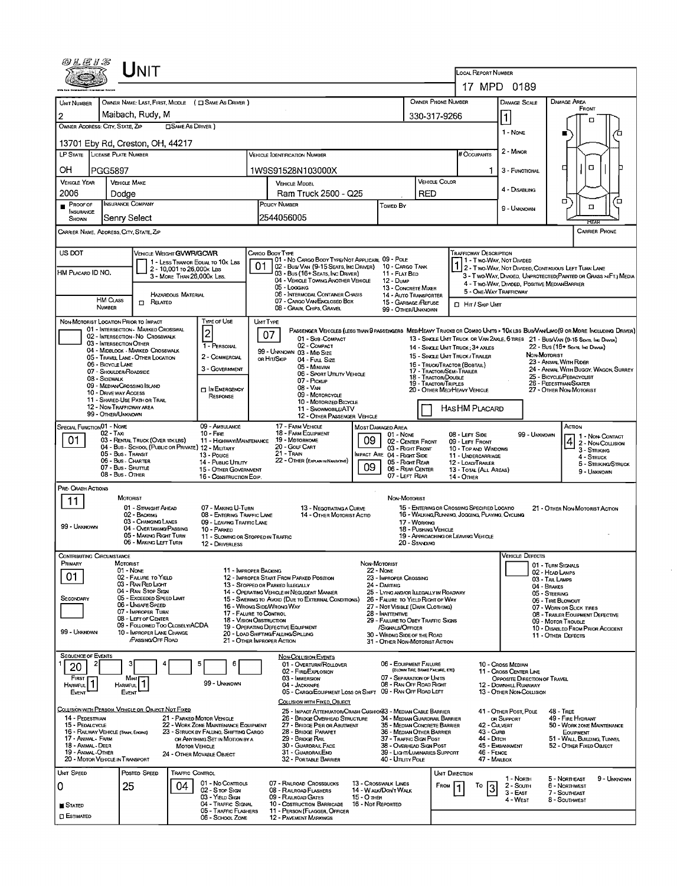| 0LE1S                                                                                                                              |                                                             | JNIT                                                                  |                            |                                                                                 |                                                         |                                                                                                                                                                                                      |                                                                                                                                            |                   |                                              |                                      |                               | <b>LOCAL REPORT NUMBER</b>                                                                                                     |                                                                                                                  |                                                         |                                                                                                                              |  |  |
|------------------------------------------------------------------------------------------------------------------------------------|-------------------------------------------------------------|-----------------------------------------------------------------------|----------------------------|---------------------------------------------------------------------------------|---------------------------------------------------------|------------------------------------------------------------------------------------------------------------------------------------------------------------------------------------------------------|--------------------------------------------------------------------------------------------------------------------------------------------|-------------------|----------------------------------------------|--------------------------------------|-------------------------------|--------------------------------------------------------------------------------------------------------------------------------|------------------------------------------------------------------------------------------------------------------|---------------------------------------------------------|------------------------------------------------------------------------------------------------------------------------------|--|--|
|                                                                                                                                    |                                                             |                                                                       |                            |                                                                                 |                                                         |                                                                                                                                                                                                      |                                                                                                                                            |                   |                                              |                                      |                               |                                                                                                                                | 17 MPD 0189                                                                                                      |                                                         |                                                                                                                              |  |  |
| <b>UNIT NUMBER</b>                                                                                                                 | OWNER NAME: LAST, FIRST, MIDDLE ( C SAME AS DRIVER )        |                                                                       |                            |                                                                                 |                                                         |                                                                                                                                                                                                      |                                                                                                                                            |                   |                                              |                                      |                               | OWNER PHONE NUMBER                                                                                                             | <b>DAMAGE SCALE</b>                                                                                              |                                                         | <b>DAMAGE AREA</b>                                                                                                           |  |  |
| 2                                                                                                                                  | Maibach, Rudy, M                                            |                                                                       |                            |                                                                                 |                                                         |                                                                                                                                                                                                      |                                                                                                                                            |                   |                                              |                                      | 330-317-9266                  |                                                                                                                                | $\vert$ 1                                                                                                        |                                                         | FRONT                                                                                                                        |  |  |
|                                                                                                                                    | OWNER ADDRESS: CITY, STATE, ZIP<br><b>ESAME AS DRIVER</b> ) |                                                                       |                            |                                                                                 |                                                         |                                                                                                                                                                                                      |                                                                                                                                            |                   |                                              |                                      |                               |                                                                                                                                | 1 - NONE                                                                                                         |                                                         | п                                                                                                                            |  |  |
| 13701 Eby Rd. Creston, OH, 44217                                                                                                   |                                                             |                                                                       |                            |                                                                                 |                                                         |                                                                                                                                                                                                      |                                                                                                                                            |                   |                                              |                                      |                               |                                                                                                                                |                                                                                                                  |                                                         |                                                                                                                              |  |  |
| LICENSE PLATE NUMBER<br>LP STATE<br><b>VEHICLE IDENTIFICATION NUMBER</b>                                                           |                                                             |                                                                       |                            |                                                                                 |                                                         |                                                                                                                                                                                                      |                                                                                                                                            |                   |                                              |                                      |                               | # Occupants                                                                                                                    | 2 - MINOR                                                                                                        |                                                         |                                                                                                                              |  |  |
| OН                                                                                                                                 | PGG5897                                                     |                                                                       |                            |                                                                                 | 1W9S91528N103000X                                       |                                                                                                                                                                                                      |                                                                                                                                            |                   |                                              |                                      |                               | 3 - FUNCTIONAL                                                                                                                 |                                                                                                                  | α<br>□                                                  |                                                                                                                              |  |  |
| <b>VEHICLE YEAR</b>                                                                                                                | <b>VEHICLE MAKE</b>                                         |                                                                       |                            |                                                                                 | <b>VEHICLE MODEL</b>                                    |                                                                                                                                                                                                      |                                                                                                                                            |                   |                                              |                                      | <b>VEHICLE COLOR</b>          |                                                                                                                                | 4 - DISABLING                                                                                                    |                                                         |                                                                                                                              |  |  |
| 2006<br>PROOF OF                                                                                                                   | Dodae<br>INSURANCE COMPANY                                  |                                                                       |                            |                                                                                 | Ram Truck 2500 - Q25<br>POUCY NUMBER<br><b>Towed By</b> |                                                                                                                                                                                                      |                                                                                                                                            |                   |                                              | RED                                  |                               |                                                                                                                                |                                                                                                                  | σ<br>Έ<br>$\Box$                                        |                                                                                                                              |  |  |
| NSURANCE<br>Shown                                                                                                                  | Senry Select                                                |                                                                       |                            |                                                                                 | 2544056005                                              |                                                                                                                                                                                                      |                                                                                                                                            |                   |                                              |                                      |                               |                                                                                                                                | 9 - UNKNOWN                                                                                                      | <b>RFAR</b>                                             |                                                                                                                              |  |  |
| CARRIER NAME, ADDRESS, CITY, STATE, ZIP                                                                                            |                                                             |                                                                       |                            |                                                                                 |                                                         |                                                                                                                                                                                                      |                                                                                                                                            |                   |                                              |                                      |                               | <b>CARRIER PHONE</b>                                                                                                           |                                                                                                                  |                                                         |                                                                                                                              |  |  |
| US DOT<br>VEHICLE WEIGHT GVWR/GCWR<br>CARGO BODY TYPE<br>Trafficway Description<br>01 - No CARGO BODY TYPE/NOT APPLICABL 09 - POLE |                                                             |                                                                       |                            |                                                                                 |                                                         |                                                                                                                                                                                                      |                                                                                                                                            |                   |                                              |                                      |                               |                                                                                                                                |                                                                                                                  |                                                         |                                                                                                                              |  |  |
| HM PLACARD ID NO.                                                                                                                  |                                                             |                                                                       | 2 - 10,001 то 26,000к Las  | 1 - LESS THAN OR EQUAL TO 10K LBS                                               |                                                         |                                                                                                                                                                                                      | 02 - Bus/Van (9-15 Seats, Inc Driver) 10 - Cargo Tank<br>03 - Bus (16+ Seats, Inc Driver)                                                  |                   | 11 - FLAT BED                                |                                      |                               |                                                                                                                                | 1 - Two-Way, Not DIMDED                                                                                          |                                                         | 2 - Two-Way, Not Divided, Continuous LEFT TURN LANE                                                                          |  |  |
|                                                                                                                                    |                                                             |                                                                       | 3 - MORE THAN 26,000K LBS. |                                                                                 |                                                         | 05 - Logging                                                                                                                                                                                         | 04 - VEHICLE TOWING ANOTHER VEHICLE                                                                                                        |                   | <b>12 - DUMP</b><br>13 - CONCRETE MIXER      |                                      |                               |                                                                                                                                | 4 - Two-WAY, DIVIDED, POSITIVE MEDIANBARRIER                                                                     |                                                         | 3 - T WO-WAY, DIVIOED, UNPROTECTED (PAINTED OR GRASS >4FT.) MEDIA                                                            |  |  |
|                                                                                                                                    | <b>HM CLASS</b>                                             | m Related                                                             | HAZARDOUS MATERIAL         |                                                                                 |                                                         |                                                                                                                                                                                                      | 06 - INTERMODAL CONTAINER CHASIS<br>07 - CARGO VAN/ENCLOSED BOX                                                                            |                   | 14 - Auto Transporter<br>15 - GARBAGE REFUSE |                                      |                               | 5 - ONE-WAY TRAFFICWAY                                                                                                         |                                                                                                                  |                                                         |                                                                                                                              |  |  |
|                                                                                                                                    | <b>NUMBER</b>                                               |                                                                       |                            |                                                                                 |                                                         |                                                                                                                                                                                                      | 08 - GRAIN, CHIPS, GRAVEL                                                                                                                  |                   | 99 - OTHER/UNKNOWN                           |                                      |                               | <b>D</b> Hit / Skip UNT                                                                                                        |                                                                                                                  |                                                         |                                                                                                                              |  |  |
| NON-MOTORIST LOCATION PRIOR TO IMPACT                                                                                              |                                                             | 01 - INTERSECTION - MARKED CROSSWAL                                   |                            | TYPE OF USE<br>$\overline{\mathbf{c}}$                                          |                                                         | UNIT TYPE<br>07                                                                                                                                                                                      |                                                                                                                                            |                   |                                              |                                      |                               |                                                                                                                                |                                                                                                                  |                                                         | PASSENGER VEHICLES (LESS THAN 9 PASSENGERS MEDIMEANY TRUCKS OR COMBO UNTS > 10K LBS BUS/VAN/LIMO(9 OR MORE INCLUDING DRIVER) |  |  |
|                                                                                                                                    | 03 - INTERSECTION OTHER                                     | 02 - INTERSECTION - NO CROSSWALK                                      |                            | 1 - PERSONAL                                                                    |                                                         |                                                                                                                                                                                                      | 01 - SUB-COMPACT<br>02 - COMPACT                                                                                                           |                   |                                              |                                      |                               | 14 - SINGLE UNIT TRUCK; 3+ AXLES                                                                                               |                                                                                                                  |                                                         | 13 - SINGLE UNIT TRUCK OR VAN 2AXLE, 6 TIRES 21 - BUS/VAN (9-15 SEATS, INC DRIVER)                                           |  |  |
|                                                                                                                                    |                                                             | 04 - MIDBLOCK - MARKED CROSSWALK<br>05 - TRAVEL LANE - OTHER LOCATION |                            | 2 - COMMERCIAL                                                                  |                                                         | 99 - UNKNOWN 03 - MID SIZE<br>OR HIT/SKIP                                                                                                                                                            | 04 - Full Size                                                                                                                             |                   |                                              |                                      |                               | 22 - Bus (16+ Seats, Inc Draver)<br>NON-MOTORIST<br>15 - SINGLE UNIT TRUCK / TRAILER<br>23 - ANIMAL WITH RIDER                 |                                                                                                                  |                                                         |                                                                                                                              |  |  |
|                                                                                                                                    | 06 - BICYCLE LANE<br>07 - SHOULDER/ROADSIDE                 |                                                                       |                            | 3 - GOVERNMENT                                                                  |                                                         |                                                                                                                                                                                                      | 05 - MINIVAN<br>06 - Sport Utility Vehicle                                                                                                 |                   |                                              | 18 - Tractor/Double                  |                               | 16 - TRUCK/TRACTOR (BOBTAIL)<br>24 - ANIMAL WITH BUGGY, WAGON, SURREY<br>17 - Tractor/Semi-Trailer<br>25 - BICYCLE/PEDACYCLIST |                                                                                                                  |                                                         |                                                                                                                              |  |  |
|                                                                                                                                    | 08 - Sidewalk<br>10 - DRIVE WAY ACCESS                      | 09 - MEDIAN CROSSING ISLAND                                           |                            | <b>IN EMERGENCY</b>                                                             |                                                         | 07 - Pickup<br><b>19 - TRACTOR/TRIPLES</b><br>08 - VAN<br>20 - OTHER MED/HEAVY VEHICLE                                                                                                               |                                                                                                                                            |                   |                                              |                                      |                               |                                                                                                                                |                                                                                                                  |                                                         | 26 - PEDESTRIAN SKATER<br>27 - OTHER NON-MOTORIST                                                                            |  |  |
|                                                                                                                                    |                                                             | 11 - SHARED-USE PATH OR TRAIL                                         |                            | RESPONSE                                                                        |                                                         |                                                                                                                                                                                                      | 09 - MOTORCYCLE<br>10 - MOTORIZED BICYCLE                                                                                                  |                   |                                              |                                      |                               |                                                                                                                                |                                                                                                                  |                                                         |                                                                                                                              |  |  |
| 12 - NON-TRAFFICWAY AREA<br>HASHM PLACARD<br>11 - SNOWMOBILE/ATV<br>99 - OTHER/UNKNOWN<br>12 - OTHER PASSENGER VEHICLE             |                                                             |                                                                       |                            |                                                                                 |                                                         |                                                                                                                                                                                                      |                                                                                                                                            |                   |                                              |                                      |                               |                                                                                                                                |                                                                                                                  |                                                         |                                                                                                                              |  |  |
| SPECIAL FUNCTION <sub>01</sub> - NONE                                                                                              | 02 - TAXI                                                   |                                                                       |                            | 09 - AMBULANCE<br>$10 -$ Fine                                                   |                                                         | 17 - FARM VEHICLE<br>18 - FARM EQUIPMENT                                                                                                                                                             |                                                                                                                                            |                   | MOST DAMAGED AREA<br>01 - None               |                                      |                               | 08 - LEFT SIDE                                                                                                                 |                                                                                                                  | 99 - UNKNOWN                                            | Астом<br>1 - Non-CONTACT                                                                                                     |  |  |
| 01                                                                                                                                 | 05 - Bus - Transit                                          | 03 - RENTAL TRUCK (OVER 10K LBS)                                      |                            | 11 - HIGHWAY/MAINTENANCE<br>04 - Bus - SCHOOL (PUBLIC OR PRIVATE) 12 - MILITARY |                                                         | 19 MOTORHOME<br>09<br>02 - CENTER FRONT<br>20 - GOLF CART<br>03 - RIGHT FRONT<br>21 - TRAIN<br><b>IMPACT ARE 04 - RIGHT SIDE</b>                                                                     |                                                                                                                                            |                   |                                              |                                      |                               | 09 - LEFT FRONT<br>10 - TOP AND WINDOWS                                                                                        |                                                                                                                  |                                                         | 4<br>2 - Non-Collision<br>3 - STRIKING                                                                                       |  |  |
|                                                                                                                                    | 06 - Bus - Charter<br>07 - Bus - SHUTTLE                    |                                                                       |                            | 13 - Pouce<br>14 - Pusuc Unury                                                  |                                                         |                                                                                                                                                                                                      | 22 - OTHER (EXPLAN IN NARRATIVE)                                                                                                           | 09                | 05 - Right Rear                              |                                      |                               | 11 - UNDERCARRIAGE<br>12 - LOAD/TRAILER                                                                                        |                                                                                                                  |                                                         | 4 - STRUCK<br>5 - STRIKING/STRUCK                                                                                            |  |  |
|                                                                                                                                    | 08 - Bus - OTHER                                            |                                                                       |                            | <b>15 - OTHER GOVERNMENT</b><br>16 - CONSTRUCTION EQIP.                         |                                                         |                                                                                                                                                                                                      |                                                                                                                                            |                   | 06 - REAR CENTER<br>07 - LEFT REAR           |                                      |                               | 13 - TOTAL (ALL AREAS)<br>14 - Отнев                                                                                           |                                                                                                                  |                                                         | 9 - UNKNOWN                                                                                                                  |  |  |
| PRE- CRASH ACTIONS                                                                                                                 | MOTORIST                                                    |                                                                       |                            |                                                                                 |                                                         |                                                                                                                                                                                                      |                                                                                                                                            |                   | NON-MOTORIST                                 |                                      |                               |                                                                                                                                |                                                                                                                  |                                                         |                                                                                                                              |  |  |
| 11                                                                                                                                 |                                                             | 01 - STRAIGHT AHEAD<br>02 - BACKING                                   |                            | 07 - MAKING U-TURN<br>08 - ENTERING TRAFFIC LANE                                |                                                         |                                                                                                                                                                                                      | 13 - NEGOTIATING A CURVE<br>14 - OTHER MOTORIST ACTID                                                                                      |                   |                                              |                                      |                               | 15 - ENTERING OR CROSSING SPECIFIED LOCATIO<br>16 - WALKING, RUNNING, JOGGING, PLAYING, CYCLING                                |                                                                                                                  |                                                         | 21 - OTHER NON-MOTORIST ACTION                                                                                               |  |  |
| 99 - UNKNOWN                                                                                                                       |                                                             | 03 - CHANGING LANES<br>04 - OVERTAKING/PASSING                        |                            | 09 - LEAVING TRAFFIC LANE<br>10 - PARKED                                        |                                                         |                                                                                                                                                                                                      |                                                                                                                                            |                   |                                              | 17 - WORKING<br>18 - PUSHING VEHICLE |                               |                                                                                                                                |                                                                                                                  |                                                         |                                                                                                                              |  |  |
|                                                                                                                                    |                                                             | 05 - MAKING RIGHT TURN<br>06 - MAKING LEFT TURN                       |                            | 11 - SLOWING OR STOPPED IN TRAFFIC<br>12 - DRIVERLESS                           |                                                         |                                                                                                                                                                                                      |                                                                                                                                            |                   |                                              | 20 - Standing                        |                               | 19 - APPROACHING OR LEAVING VEHICLE                                                                                            |                                                                                                                  |                                                         |                                                                                                                              |  |  |
| CONTRIBUTING CIRCUMSTANCE                                                                                                          |                                                             |                                                                       |                            |                                                                                 |                                                         |                                                                                                                                                                                                      |                                                                                                                                            |                   |                                              |                                      |                               |                                                                                                                                | <b>VEHICLE DEFECTS</b>                                                                                           |                                                         |                                                                                                                              |  |  |
| Primary                                                                                                                            | MOTORIST<br>01 - NONE                                       |                                                                       |                            | 11 - IMPROPER BACKING                                                           |                                                         |                                                                                                                                                                                                      |                                                                                                                                            |                   | NON-MOTORIST<br>22 - NONE                    |                                      |                               |                                                                                                                                |                                                                                                                  | 01 - TURN SIGNALS<br>02 - HEAD LAMPS                    |                                                                                                                              |  |  |
| 01                                                                                                                                 |                                                             | 02 - FAILURE TO YIELD<br>03 - RAN RED LIGHT                           |                            |                                                                                 |                                                         | 12 - IMPROPER START FROM PARKED POSITION<br>13 - Stopped or Parked LLEGALLY                                                                                                                          |                                                                                                                                            |                   | 23 - IMPROPER CROSSING<br>24 - DARTING       |                                      |                               |                                                                                                                                | 03 - TAL LAMPS<br>04 - BRAKES                                                                                    |                                                         |                                                                                                                              |  |  |
| SECONDARY                                                                                                                          |                                                             | 04 - RAN STOP SIGN<br>05 - Exceeded Speed Limit                       |                            |                                                                                 |                                                         | 14 - OPERATING VEHICLE IN NEGLIGENT MANNER<br>25 - LYING AND/OR ILLEGALLY IN ROADWAY<br>15 - Swering to Avoid (Due to External Conditions)<br>26 - FALURE TO YIELD RIGHT OF WAY                      |                                                                                                                                            |                   |                                              |                                      |                               |                                                                                                                                | 05 - STEERING<br>06 - TIRE BLOWOUT                                                                               |                                                         |                                                                                                                              |  |  |
|                                                                                                                                    |                                                             | 06 - Unsafe Speed<br>07 - IMPROPER TURN<br>08 - LEFT OF CENTER        |                            | 17 - FALURE TO CONTROL                                                          |                                                         |                                                                                                                                                                                                      | 16 - WRONG SIDE/WRONG WAY<br>27 - NOT VISIBLE (DARK CLOTHING)<br>28 - Inattentive                                                          |                   |                                              |                                      |                               |                                                                                                                                | 07 - WORN OR SLICK TIRES<br>08 - TRAILER EOUIPMENT DEFECTIVE                                                     |                                                         |                                                                                                                              |  |  |
| 99 - Unknown                                                                                                                       |                                                             | 09 - FOLLOWED TOO CLOSELY/ACDA<br>10 - IMPROPER LANE CHANGE           |                            |                                                                                 |                                                         | <b>18 - VISION OBSTRUCTION</b><br>29 - FAILURE TO OBEY TRAFFIC SIGNS<br>19 - OPERATING DEFECTIVE EQUIPMENT<br>/SIGNALS/OFFICER<br>20 - LOAD SHIFTING/FALLING/SPILLING<br>30 - WRONG SIDE OF THE ROAD |                                                                                                                                            |                   |                                              |                                      |                               |                                                                                                                                |                                                                                                                  | 09 - MOTOR TROUBLE<br>10 - DISABLED FROM PRIOR ACCIDENT |                                                                                                                              |  |  |
|                                                                                                                                    |                                                             | <b>PASSING OFF ROAD</b>                                               |                            |                                                                                 |                                                         | 21 - Other Improper Action                                                                                                                                                                           |                                                                                                                                            |                   | 31 - OTHER NON-MOTORIST ACTION               |                                      |                               |                                                                                                                                |                                                                                                                  |                                                         | 11 - OTHER DEFECTS                                                                                                           |  |  |
| <b>SEQUENCE OF EVENTS</b>                                                                                                          | з                                                           |                                                                       |                            | 6<br>5                                                                          |                                                         |                                                                                                                                                                                                      | <b>NON-COLLISION EVENTS</b><br>01 - OVERTURN/ROLLOVER                                                                                      |                   | 06 - EQUIPMENT FAILURE                       |                                      |                               |                                                                                                                                | 10 - Cross Median                                                                                                |                                                         |                                                                                                                              |  |  |
| 20<br>FIRST                                                                                                                        |                                                             | Most                                                                  |                            |                                                                                 |                                                         | 03 - IMMERSION                                                                                                                                                                                       | 02 - FIRE/EXPLOSION                                                                                                                        |                   | 07 - SEPARATION OF UNITS                     | (BLOWN TIRE, BRAKE FAILURE, ETC)     |                               |                                                                                                                                | 11 - Cross CENTER LINE<br>OPPOSITE DIRECTION OF TRAVEL                                                           |                                                         |                                                                                                                              |  |  |
| <b>Harmful</b><br>EVENT                                                                                                            | HARMFUL<br><b>EVENT</b>                                     |                                                                       |                            | 99 - Unknown                                                                    |                                                         | 04 - JACKKNIFE                                                                                                                                                                                       | 05 - CARGO/EOUIPMENT LOSS OR SHIFT 09 - RAN OFF ROAD LEFT                                                                                  |                   | 08 - RAN OFF ROAD RIGHT                      |                                      |                               |                                                                                                                                | <b>12 - DOWNHILL RUNAWAY</b><br>13 - OTHER NON COLUSION                                                          |                                                         |                                                                                                                              |  |  |
| COLUSION WITH PERSON, VEHICLE OR OBJECT NOT FIXED                                                                                  |                                                             |                                                                       |                            |                                                                                 |                                                         |                                                                                                                                                                                                      | COLUSION WITH FIXED, OBJECT                                                                                                                |                   |                                              |                                      |                               |                                                                                                                                |                                                                                                                  |                                                         |                                                                                                                              |  |  |
| 14 - PEDESTRIAN<br>15 - PEDALCYCLE                                                                                                 |                                                             |                                                                       |                            | 21 - PARKED MOTOR VEHICLE<br>22 - WORK ZONE MAINTENANCE EQUIPMENT               |                                                         |                                                                                                                                                                                                      | 25 - IMPACT ATTENUATOR/CRASH CUSHION33 - MEDIAN CABLE BARRIER<br>26 - BRIDGE OVERHEAD STRUCTURE                                            |                   | 34 - MEDIAN GUARDRAIL BARRIER                |                                      |                               |                                                                                                                                | 41 - OTHER POST, POLE<br>OR SUPPORT                                                                              |                                                         | 48 - Tree<br>49 - FIRE HYDRANT                                                                                               |  |  |
| 16 - RAILWAY VEHICLE (TRAIN, ENGINE)<br>17 - Animal - Farm                                                                         |                                                             |                                                                       |                            | 23 - STRUCK BY FALLING, SHIFTING CARGO<br>OR ANYTHING SET IN MOTION BY A        |                                                         |                                                                                                                                                                                                      | 27 - BRIDGE PIER OR ABUTMENT<br>35 - MEDIAN CONCRETE BARRIER<br>28 - Bridge Parapet<br>36 - MEDIAN OTHER BARRIER<br>37 - TRAFFIC SIGN POST |                   |                                              |                                      |                               |                                                                                                                                | 42 - CULVERT<br>50 - WORK ZONE MAINTENANCE<br>43 - Curs<br>EOUIPMENT<br>44 - Олон<br>51 - WALL, BUILDING, TUNNEL |                                                         |                                                                                                                              |  |  |
| 18 - Animal - Deer<br>19 - ANIMAL-OTHER                                                                                            |                                                             |                                                                       | <b>MOTOR VEHICLE</b>       | 24 - OTHER MOVABLE OBJECT                                                       |                                                         | 29 - BRIDGE RAIL<br>30 - GUARDRAIL FACE<br>38 - Overhead Sign Post<br>31 - GuardralEnd                                                                                                               |                                                                                                                                            |                   |                                              |                                      | 39 - LIGHT/LUMINARIES SUPPORT |                                                                                                                                | 52 - OTHER FIXED OBJECT                                                                                          |                                                         |                                                                                                                              |  |  |
| 20 - MOTOR VEHICLE IN TRANSPORT                                                                                                    |                                                             |                                                                       |                            |                                                                                 |                                                         |                                                                                                                                                                                                      | 32 - PORTABLE BARRIER                                                                                                                      |                   | 40 - Ununy Pous                              |                                      |                               | 46 - FENCE<br>47 - MALBOX                                                                                                      |                                                                                                                  |                                                         |                                                                                                                              |  |  |
| UNIT SPEED                                                                                                                         |                                                             | Posted Speed                                                          | TRAFFIC CONTROL            | 01 - No CONTROLS                                                                |                                                         |                                                                                                                                                                                                      | 07 - RAILROAD CROSSBUCKS                                                                                                                   |                   | 13 - Crosswalk Lines                         |                                      | UNIT DIRECTION<br>FROM        |                                                                                                                                | 1 - North                                                                                                        |                                                         | 9 - UNKNOWN<br>5 - Northeast                                                                                                 |  |  |
| 0                                                                                                                                  | 25                                                          |                                                                       | 04                         | 02 - S TOP SIGN<br>03 - YIELD SIGN                                              |                                                         | 08 - RAILROAD FLASHERS<br>09 - RALROAD GATES                                                                                                                                                         |                                                                                                                                            | 15 - О тнев       | 14 - WALK/DON'T WALK                         |                                      |                               | To<br>3                                                                                                                        | 2 - Soum<br>$3 -$ East<br>4 - WEST                                                                               |                                                         | 6 - Northmest<br>7 - SOUTHEAST<br>8 - Southwest                                                                              |  |  |
| <b>STATED</b>                                                                                                                      |                                                             |                                                                       |                            | 04 - TRAFFIC SIGNAL<br>05 - TRAFFIC FLASHERS                                    |                                                         |                                                                                                                                                                                                      | 10 - Costruction Barricade<br>11 - PERSON (FLAGGER, OFFICER                                                                                | 16 - Not Reported |                                              |                                      |                               |                                                                                                                                |                                                                                                                  |                                                         |                                                                                                                              |  |  |
| $\square$ Estimated                                                                                                                |                                                             |                                                                       |                            | 06 - SCHOOL ZONE                                                                |                                                         | <b>12 - PAVEMENT MARKINGS</b>                                                                                                                                                                        |                                                                                                                                            |                   |                                              |                                      |                               |                                                                                                                                |                                                                                                                  |                                                         |                                                                                                                              |  |  |